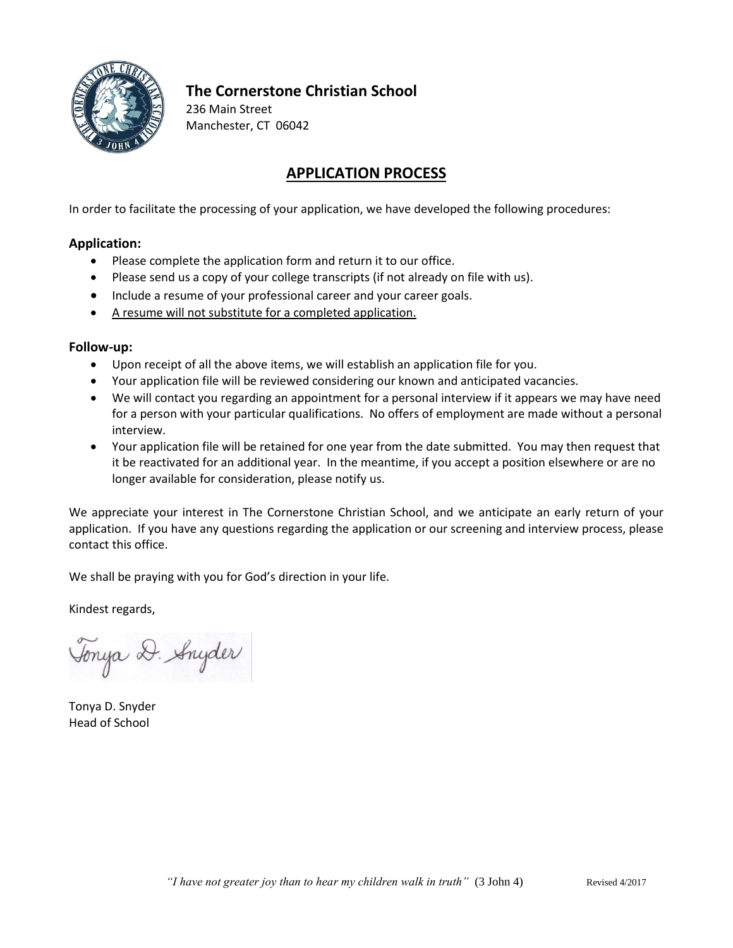

# **The Cornerstone Christian School**

236 Main Street Manchester, CT 06042

# **APPLICATION PROCESS**

In order to facilitate the processing of your application, we have developed the following procedures:

## **Application:**

- Please complete the application form and return it to our office.
- Please send us a copy of your college transcripts (if not already on file with us).
- Include a resume of your professional career and your career goals.
- A resume will not substitute for a completed application.

## **Follow-up:**

- Upon receipt of all the above items, we will establish an application file for you.
- Your application file will be reviewed considering our known and anticipated vacancies.
- We will contact you regarding an appointment for a personal interview if it appears we may have need for a person with your particular qualifications. No offers of employment are made without a personal interview.
- Your application file will be retained for one year from the date submitted. You may then request that it be reactivated for an additional year. In the meantime, if you accept a position elsewhere or are no longer available for consideration, please notify us.

We appreciate your interest in The Cornerstone Christian School, and we anticipate an early return of your application. If you have any questions regarding the application or our screening and interview process, please contact this office.

We shall be praying with you for God's direction in your life.

Kindest regards,

Tonya D. Snyder

Tonya D. Snyder Head of School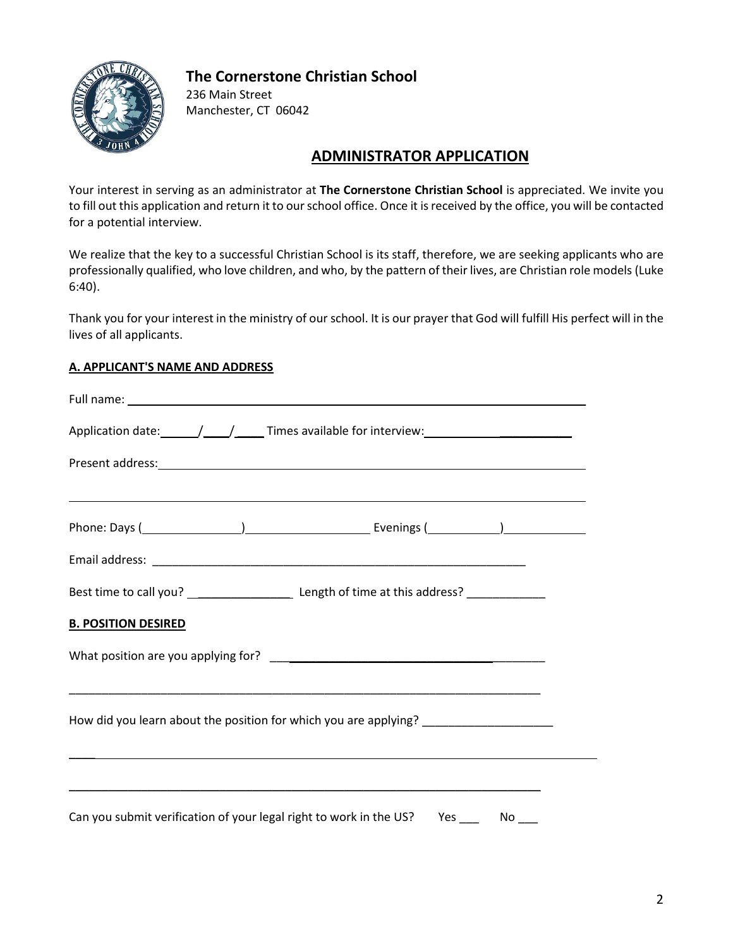## **The Cornerstone Christian School**



236 Main Street Manchester, CT 06042

# **ADMINISTRATOR APPLICATION**

Your interest in serving as an administrator at **The Cornerstone Christian School** is appreciated. We invite you to fill out this application and return it to our school office. Once it is received by the office, you will be contacted for a potential interview.

We realize that the key to a successful Christian School is its staff, therefore, we are seeking applicants who are professionally qualified, who love children, and who, by the pattern of their lives, are Christian role models (Luke 6:40).

Thank you for your interest in the ministry of our school. It is our prayer that God will fulfill His perfect will in the lives of all applicants.

## **A. APPLICANT'S NAME AND ADDRESS**

|                            | <u> 1999 - Jan Barbara de Santo de Santo de Santo de Santo de Santo de Santo de Santo de Santo de Santo de Santo</u> |  |  |  |  |  |
|----------------------------|----------------------------------------------------------------------------------------------------------------------|--|--|--|--|--|
|                            |                                                                                                                      |  |  |  |  |  |
|                            |                                                                                                                      |  |  |  |  |  |
| <b>B. POSITION DESIRED</b> |                                                                                                                      |  |  |  |  |  |
|                            |                                                                                                                      |  |  |  |  |  |
|                            | How did you learn about the position for which you are applying? ________________                                    |  |  |  |  |  |
|                            | ,我们也不会有什么。""我们的人,我们也不会有什么?""我们的人,我们也不会有什么?""我们的人,我们也不会有什么?""我们的人,我们也不会有什么?""我们的人                                     |  |  |  |  |  |
|                            | Can you submit verification of your legal right to work in the US? Yes _____ No ___                                  |  |  |  |  |  |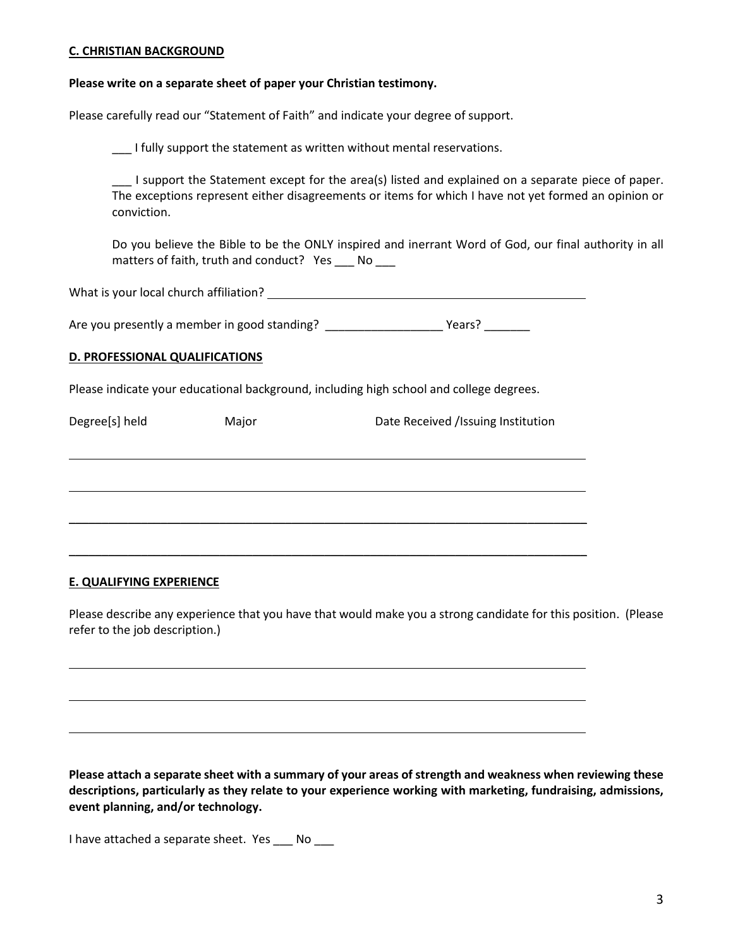#### **C. CHRISTIAN BACKGROUND**

#### **Please write on a separate sheet of paper your Christian testimony.**

Please carefully read our "Statement of Faith" and indicate your degree of support.

I fully support the statement as written without mental reservations.

\_\_\_ I support the Statement except for the area(s) listed and explained on a separate piece of paper. The exceptions represent either disagreements or items for which I have not yet formed an opinion or conviction.

Do you believe the Bible to be the ONLY inspired and inerrant Word of God, our final authority in all matters of faith, truth and conduct? Yes \_\_\_ No \_\_\_

What is your local church affiliation?

Are you presently a member in good standing? \_\_\_\_\_\_\_\_\_\_\_\_\_\_\_\_\_\_\_\_\_\_\_\_\_\_\_\_Years?

#### **D. PROFESSIONAL QUALIFICATIONS**

Please indicate your educational background, including high school and college degrees.

Degree[s] held Major Major Date Received /Issuing Institution \_\_\_\_\_\_\_\_\_\_\_\_\_\_\_\_\_\_\_\_\_\_\_\_\_\_\_\_\_\_\_\_\_\_\_\_\_\_\_\_\_\_\_\_\_\_\_\_\_\_\_\_\_\_\_\_\_\_\_\_\_\_\_\_\_\_\_\_\_\_\_\_\_\_\_\_\_\_\_ \_\_\_\_\_\_\_\_\_\_\_\_\_\_\_\_\_\_\_\_\_\_\_\_\_\_\_\_\_\_\_\_\_\_\_\_\_\_\_\_\_\_\_\_\_\_\_\_\_\_\_\_\_\_\_\_\_\_\_\_\_\_\_\_\_\_\_\_\_\_\_\_\_\_\_\_\_\_\_

#### **E. QUALIFYING EXPERIENCE**

Please describe any experience that you have that would make you a strong candidate for this position. (Please refer to the job description.)

**Please attach a separate sheet with a summary of your areas of strength and weakness when reviewing these descriptions, particularly as they relate to your experience working with marketing, fundraising, admissions, event planning, and/or technology.**

I have attached a separate sheet. Yes No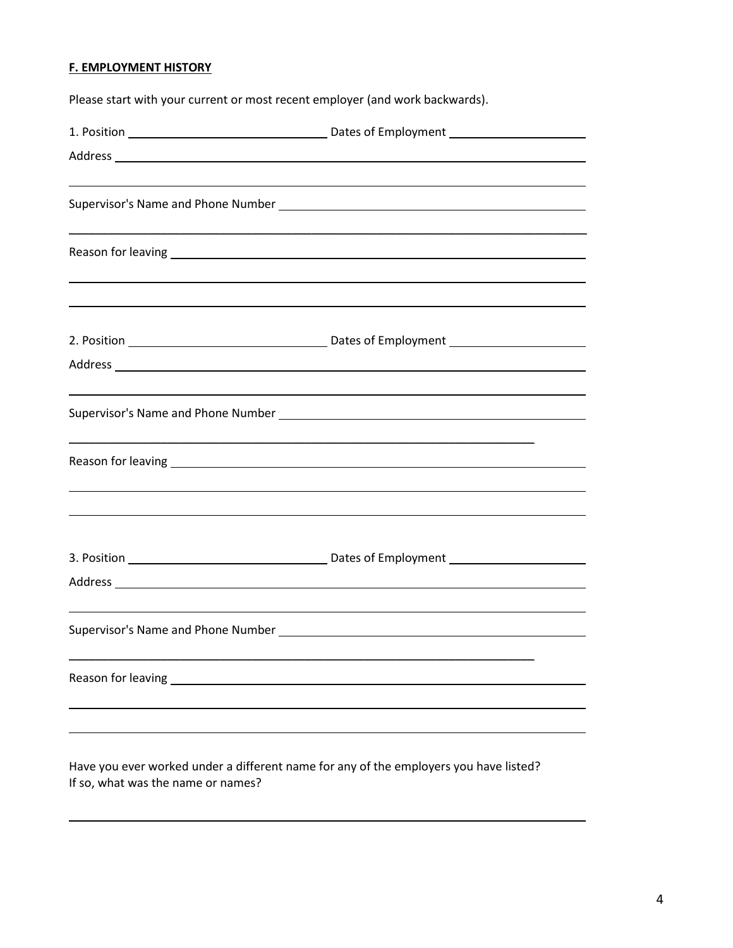## **F. EMPLOYMENT HISTORY**

Please start with your current or most recent employer (and work backwards).

Have you ever worked under a different name for any of the employers you have listed? If so, what was the name or names?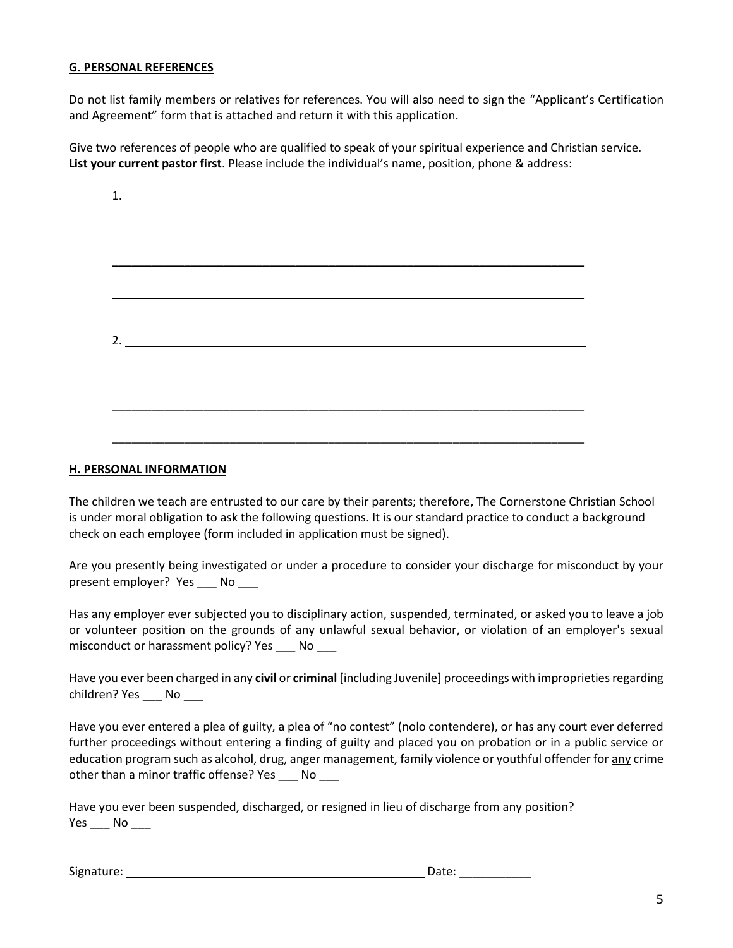#### **G. PERSONAL REFERENCES**

Do not list family members or relatives for references. You will also need to sign the "Applicant's Certification and Agreement" form that is attached and return it with this application.

Give two references of people who are qualified to speak of your spiritual experience and Christian service. **List your current pastor first**. Please include the individual's name, position, phone & address:

| 1.                          |  |  |
|-----------------------------|--|--|
|                             |  |  |
|                             |  |  |
|                             |  |  |
|                             |  |  |
|                             |  |  |
|                             |  |  |
|                             |  |  |
|                             |  |  |
|                             |  |  |
|                             |  |  |
| 2. $\overline{\phantom{a}}$ |  |  |
|                             |  |  |
|                             |  |  |
|                             |  |  |
|                             |  |  |
|                             |  |  |
|                             |  |  |
|                             |  |  |

#### **H. PERSONAL INFORMATION**

The children we teach are entrusted to our care by their parents; therefore, The Cornerstone Christian School is under moral obligation to ask the following questions. It is our standard practice to conduct a background check on each employee (form included in application must be signed).

Are you presently being investigated or under a procedure to consider your discharge for misconduct by your present employer? Yes \_\_\_ No \_\_\_

Has any employer ever subjected you to disciplinary action, suspended, terminated, or asked you to leave a job or volunteer position on the grounds of any unlawful sexual behavior, or violation of an employer's sexual misconduct or harassment policy? Yes No

Have you ever been charged in any **civil** or **criminal** [including Juvenile] proceedings with improprieties regarding children? Yes \_\_\_\_ No \_\_\_\_

Have you ever entered a plea of guilty, a plea of "no contest" (nolo contendere), or has any court ever deferred further proceedings without entering a finding of guilty and placed you on probation or in a public service or education program such as alcohol, drug, anger management, family violence or youthful offender for any crime other than a minor traffic offense? Yes \_\_\_ No \_\_\_

Have you ever been suspended, discharged, or resigned in lieu of discharge from any position?  $Yes$  No  $\_\_$ 

Signature: Date: \_\_\_\_\_\_\_\_\_\_\_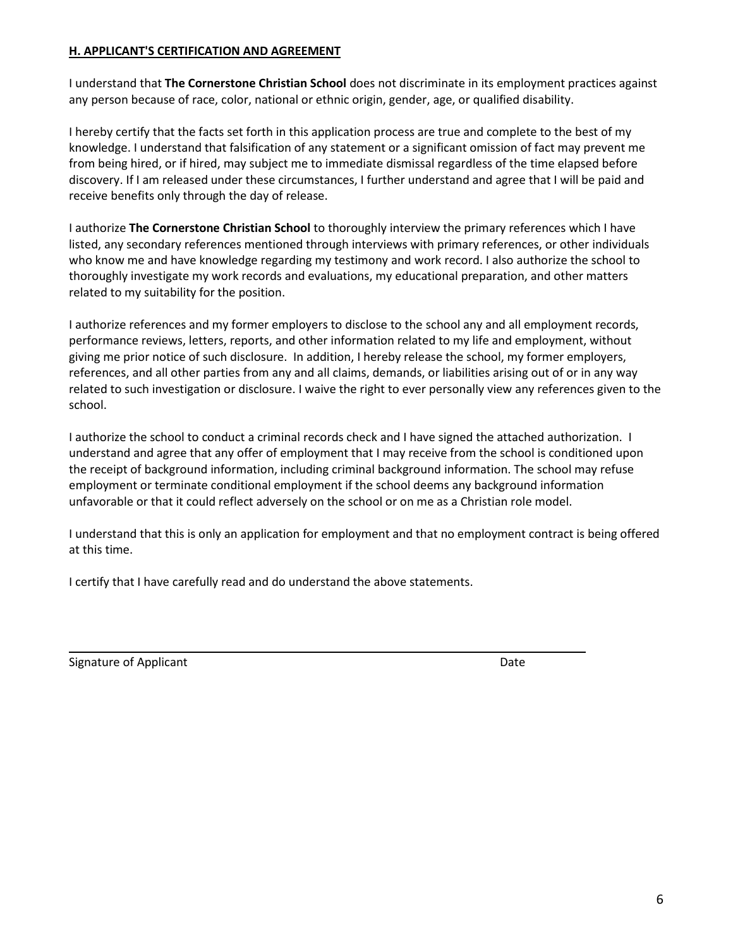### **H. APPLICANT'S CERTIFICATION AND AGREEMENT**

I understand that **The Cornerstone Christian School** does not discriminate in its employment practices against any person because of race, color, national or ethnic origin, gender, age, or qualified disability.

I hereby certify that the facts set forth in this application process are true and complete to the best of my knowledge. I understand that falsification of any statement or a significant omission of fact may prevent me from being hired, or if hired, may subject me to immediate dismissal regardless of the time elapsed before discovery. If I am released under these circumstances, I further understand and agree that I will be paid and receive benefits only through the day of release.

I authorize **The Cornerstone Christian School** to thoroughly interview the primary references which I have listed, any secondary references mentioned through interviews with primary references, or other individuals who know me and have knowledge regarding my testimony and work record. I also authorize the school to thoroughly investigate my work records and evaluations, my educational preparation, and other matters related to my suitability for the position.

I authorize references and my former employers to disclose to the school any and all employment records, performance reviews, letters, reports, and other information related to my life and employment, without giving me prior notice of such disclosure. In addition, I hereby release the school, my former employers, references, and all other parties from any and all claims, demands, or liabilities arising out of or in any way related to such investigation or disclosure. I waive the right to ever personally view any references given to the school.

I authorize the school to conduct a criminal records check and I have signed the attached authorization. I understand and agree that any offer of employment that I may receive from the school is conditioned upon the receipt of background information, including criminal background information. The school may refuse employment or terminate conditional employment if the school deems any background information unfavorable or that it could reflect adversely on the school or on me as a Christian role model.

I understand that this is only an application for employment and that no employment contract is being offered at this time.

I certify that I have carefully read and do understand the above statements.

Signature of Applicant Date of Applicant Date of Applicant Date of Applicant Date of Applicant Date of Applicant Date of Applicant Date of Applicant Date of Applicant Date of Applicant Date of Applicant Date of Applicant D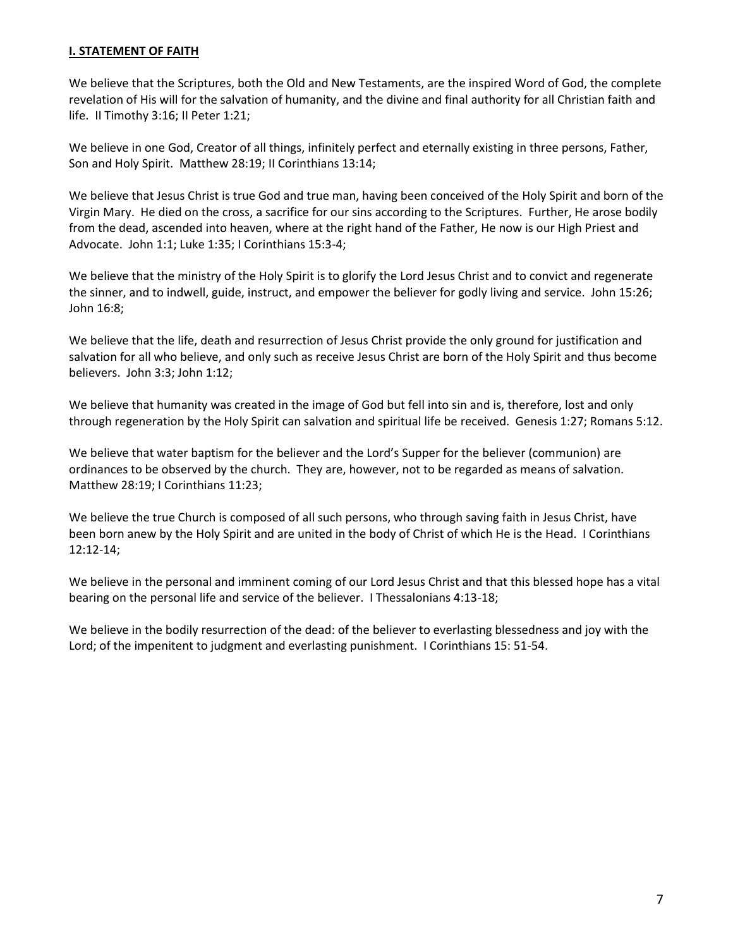### **I. STATEMENT OF FAITH**

We believe that the Scriptures, both the Old and New Testaments, are the inspired Word of God, the complete revelation of His will for the salvation of humanity, and the divine and final authority for all Christian faith and life. II Timothy 3:16; II Peter 1:21;

We believe in one God, Creator of all things, infinitely perfect and eternally existing in three persons, Father, Son and Holy Spirit. Matthew 28:19; II Corinthians 13:14;

We believe that Jesus Christ is true God and true man, having been conceived of the Holy Spirit and born of the Virgin Mary. He died on the cross, a sacrifice for our sins according to the Scriptures. Further, He arose bodily from the dead, ascended into heaven, where at the right hand of the Father, He now is our High Priest and Advocate. John 1:1; Luke 1:35; I Corinthians 15:3-4;

We believe that the ministry of the Holy Spirit is to glorify the Lord Jesus Christ and to convict and regenerate the sinner, and to indwell, guide, instruct, and empower the believer for godly living and service. John 15:26; John 16:8;

We believe that the life, death and resurrection of Jesus Christ provide the only ground for justification and salvation for all who believe, and only such as receive Jesus Christ are born of the Holy Spirit and thus become believers. John 3:3; John 1:12;

We believe that humanity was created in the image of God but fell into sin and is, therefore, lost and only through regeneration by the Holy Spirit can salvation and spiritual life be received. Genesis 1:27; Romans 5:12.

We believe that water baptism for the believer and the Lord's Supper for the believer (communion) are ordinances to be observed by the church. They are, however, not to be regarded as means of salvation. Matthew 28:19; I Corinthians 11:23;

We believe the true Church is composed of all such persons, who through saving faith in Jesus Christ, have been born anew by the Holy Spirit and are united in the body of Christ of which He is the Head. I Corinthians 12:12-14;

We believe in the personal and imminent coming of our Lord Jesus Christ and that this blessed hope has a vital bearing on the personal life and service of the believer. I Thessalonians 4:13-18;

We believe in the bodily resurrection of the dead: of the believer to everlasting blessedness and joy with the Lord; of the impenitent to judgment and everlasting punishment. I Corinthians 15: 51-54.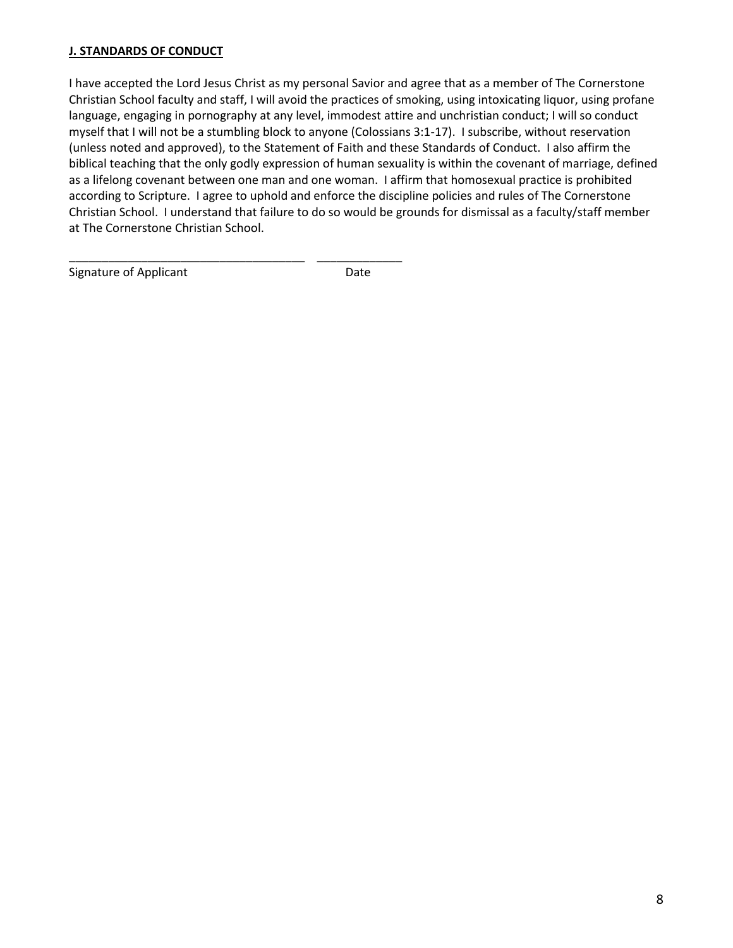### **J. STANDARDS OF CONDUCT**

I have accepted the Lord Jesus Christ as my personal Savior and agree that as a member of The Cornerstone Christian School faculty and staff, I will avoid the practices of smoking, using intoxicating liquor, using profane language, engaging in pornography at any level, immodest attire and unchristian conduct; I will so conduct myself that I will not be a stumbling block to anyone (Colossians 3:1-17). I subscribe, without reservation (unless noted and approved), to the Statement of Faith and these Standards of Conduct. I also affirm the biblical teaching that the only godly expression of human sexuality is within the covenant of marriage, defined as a lifelong covenant between one man and one woman. I affirm that homosexual practice is prohibited according to Scripture. I agree to uphold and enforce the discipline policies and rules of The Cornerstone Christian School. I understand that failure to do so would be grounds for dismissal as a faculty/staff member at The Cornerstone Christian School.

Signature of Applicant **Date** 

\_\_\_\_\_\_\_\_\_\_\_\_\_\_\_\_\_\_\_\_\_\_\_\_\_\_\_\_\_\_\_\_\_\_\_\_ \_\_\_\_\_\_\_\_\_\_\_\_\_